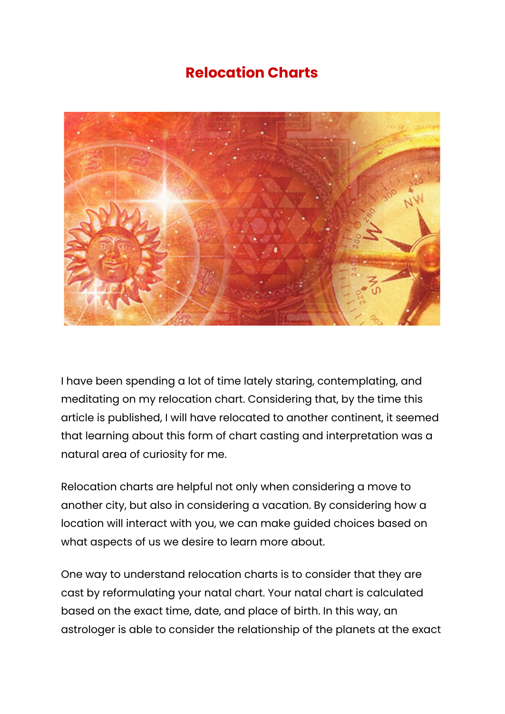## **Relocation Charts**



I have been spending a lot of time lately staring, contemplating, and meditating on my relocation chart. Considering that, by the time this article is published, I will have relocated to another continent, it seemed that learning about this form of chart casting and interpretation was a natural area of curiosity for me.

Relocation charts are helpful not only when considering a move to another city, but also in considering a vacation. By considering how a location will interact with you, we can make guided choices based on what aspects of us we desire to learn more about.

One way to understand relocation charts is to consider that they are cast by reformulating your natal chart. Your natal chart is calculated based on the exact time, date, and place of birth. In this way, an astrologer is able to consider the relationship of the planets at the exact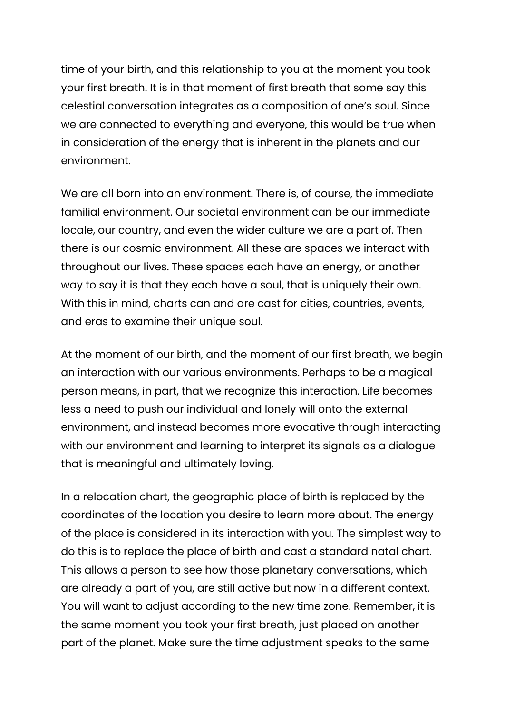time of your birth, and this relationship to you at the moment you took your first breath. It is in that moment of first breath that some say this celestial conversation integrates as a composition of one's soul. Since we are connected to everything and everyone, this would be true when in consideration of the energy that is inherent in the planets and our environment.

We are all born into an environment. There is, of course, the immediate familial environment. Our societal environment can be our immediate locale, our country, and even the wider culture we are a part of. Then there is our cosmic environment. All these are spaces we interact with throughout our lives. These spaces each have an energy, or another way to say it is that they each have a soul, that is uniquely their own. With this in mind, charts can and are cast for cities, countries, events, and eras to examine their unique soul.

At the moment of our birth, and the moment of our first breath, we begin an interaction with our various environments. Perhaps to be a magical person means, in part, that we recognize this interaction. Life becomes less a need to push our individual and lonely will onto the external environment, and instead becomes more evocative through interacting with our environment and learning to interpret its signals as a dialogue that is meaningful and ultimately loving.

In a relocation chart, the geographic place of birth is replaced by the coordinates of the location you desire to learn more about. The energy of the place is considered in its interaction with you. The simplest way to do this is to replace the place of birth and cast a standard natal chart. This allows a person to see how those planetary conversations, which are already a part of you, are still active but now in a different context. You will want to adjust according to the new time zone. Remember, it is the same moment you took your first breath, just placed on another part of the planet. Make sure the time adjustment speaks to the same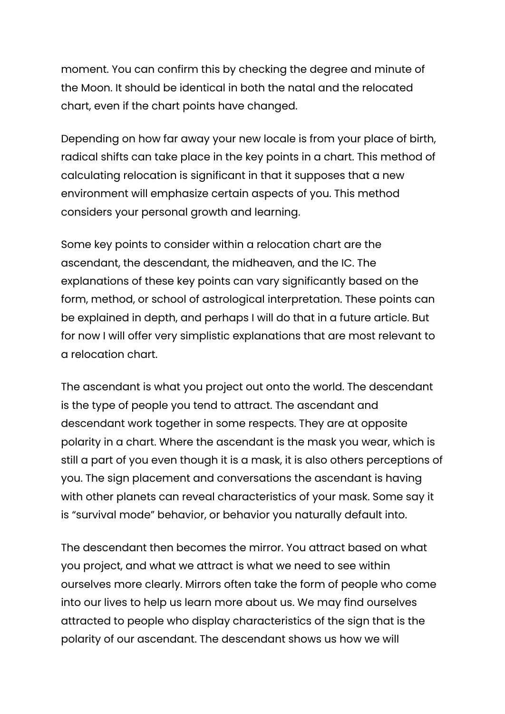moment. You can confirm this by checking the degree and minute of the Moon. It should be identical in both the natal and the relocated chart, even if the chart points have changed.

Depending on how far away your new locale is from your place of birth, radical shifts can take place in the key points in a chart. This method of calculating relocation is significant in that it supposes that a new environment will emphasize certain aspects of you. This method considers your personal growth and learning.

Some key points to consider within a relocation chart are the ascendant, the descendant, the midheaven, and the IC. The explanations of these key points can vary significantly based on the form, method, or school of astrological interpretation. These points can be explained in depth, and perhaps I will do that in a future article. But for now I will offer very simplistic explanations that are most relevant to a relocation chart.

The ascendant is what you project out onto the world. The descendant is the type of people you tend to attract. The ascendant and descendant work together in some respects. They are at opposite polarity in a chart. Where the ascendant is the mask you wear, which is still a part of you even though it is a mask, it is also others perceptions of you. The sign placement and conversations the ascendant is having with other planets can reveal characteristics of your mask. Some say it is "survival mode" behavior, or behavior you naturally default into.

The descendant then becomes the mirror. You attract based on what you project, and what we attract is what we need to see within ourselves more clearly. Mirrors often take the form of people who come into our lives to help us learn more about us. We may find ourselves attracted to people who display characteristics of the sign that is the polarity of our ascendant. The descendant shows us how we will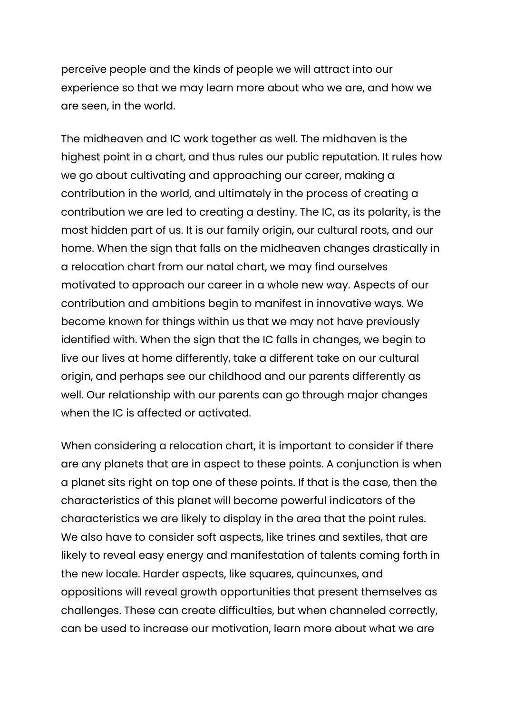perceive people and the kinds of people we will attract into our experience so that we may learn more about who we are, and how we are seen, in the world.

The midheaven and IC work together as well. The midhaven is the highest point in a chart, and thus rules our public reputation. It rules how we go about cultivating and approaching our career, making a contribution in the world, and ultimately in the process of creating a contribution we are led to creating a destiny. The IC, as its polarity, is the most hidden part of us. It is our family origin, our cultural roots, and our home. When the sign that falls on the midheaven changes drastically in a relocation chart from our natal chart, we may find ourselves motivated to approach our career in a whole new way. Aspects of our contribution and ambitions begin to manifest in innovative ways. We become known for things within us that we may not have previously identified with. When the sign that the IC falls in changes, we begin to live our lives at home differently, take a different take on our cultural origin, and perhaps see our childhood and our parents differently as well. Our relationship with our parents can go through major changes when the IC is affected or activated.

When considering a relocation chart, it is important to consider if there are any planets that are in aspect to these points. A conjunction is when a planet sits right on top one of these points. If that is the case, then the characteristics of this planet will become powerful indicators of the characteristics we are likely to display in the area that the point rules. We also have to consider soft aspects, like trines and sextiles, that are likely to reveal easy energy and manifestation of talents coming forth in the new locale. Harder aspects, like squares, quincunxes, and oppositions will reveal growth opportunities that present themselves as challenges. These can create difficulties, but when channeled correctly, can be used to increase our motivation, learn more about what we are